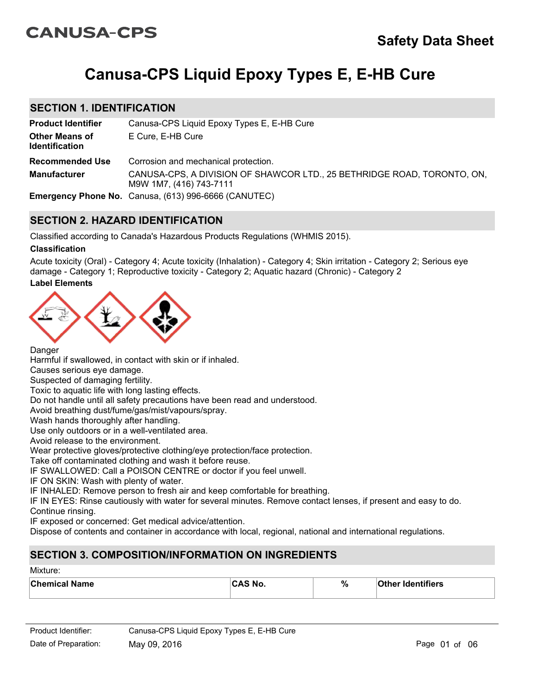# **CANUSA-CPS**

# **Canusa-CPS Liquid Epoxy Types E, E-HB Cure**

# **SECTION 1. IDENTIFICATION**

| <b>Product Identifier</b>                      | Canusa-CPS Liquid Epoxy Types E, E-HB Cure                                                         |
|------------------------------------------------|----------------------------------------------------------------------------------------------------|
| <b>Other Means of</b><br><b>Identification</b> | E Cure, E-HB Cure                                                                                  |
| <b>Recommended Use</b>                         | Corrosion and mechanical protection.                                                               |
| <b>Manufacturer</b>                            | CANUSA-CPS, A DIVISION OF SHAWCOR LTD., 25 BETHRIDGE ROAD, TORONTO, ON,<br>M9W 1M7, (416) 743-7111 |
|                                                | <b>Emergency Phone No.</b> Canusa, (613) 996-6666 (CANUTEC)                                        |

# **SECTION 2. HAZARD IDENTIFICATION**

Classified according to Canada's Hazardous Products Regulations (WHMIS 2015).

### **Classification**

Acute toxicity (Oral) - Category 4; Acute toxicity (Inhalation) - Category 4; Skin irritation - Category 2; Serious eye damage - Category 1; Reproductive toxicity - Category 2; Aquatic hazard (Chronic) - Category 2

### **Label Elements**



Danger

Harmful if swallowed, in contact with skin or if inhaled.

Causes serious eye damage.

Suspected of damaging fertility.

Toxic to aquatic life with long lasting effects.

Do not handle until all safety precautions have been read and understood.

Avoid breathing dust/fume/gas/mist/vapours/spray.

Wash hands thoroughly after handling.

Use only outdoors or in a well-ventilated area.

Avoid release to the environment.

Wear protective gloves/protective clothing/eye protection/face protection.

Take off contaminated clothing and wash it before reuse.

IF SWALLOWED: Call a POISON CENTRE or doctor if you feel unwell.

IF ON SKIN: Wash with plenty of water.

IF INHALED: Remove person to fresh air and keep comfortable for breathing.

IF IN EYES: Rinse cautiously with water for several minutes. Remove contact lenses, if present and easy to do. Continue rinsing.

IF exposed or concerned: Get medical advice/attention.

Dispose of contents and container in accordance with local, regional, national and international regulations.

# **SECTION 3. COMPOSITION/INFORMATION ON INGREDIENTS**

#### Mixture:

| <b>Chemical Name</b> | <b>CAS No.</b> | $\%$ | <b>Other Identifiers</b> |
|----------------------|----------------|------|--------------------------|
|                      |                |      |                          |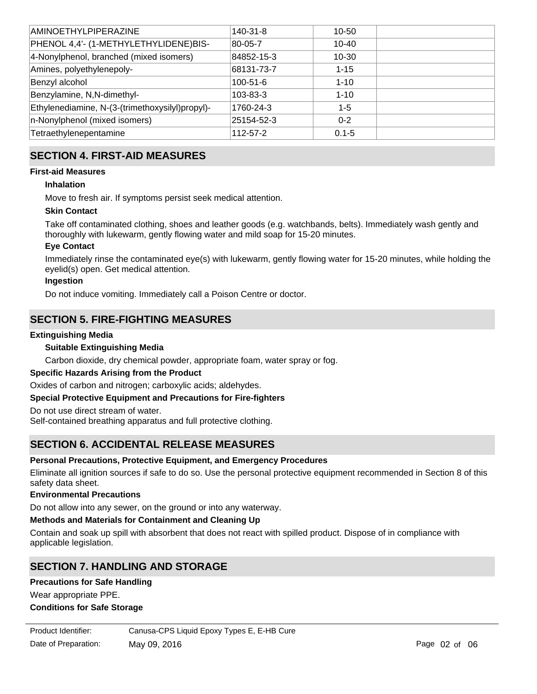| <b>AMINOETHYLPIPERAZINE</b>                     | $140 - 31 - 8$ | 10-50     |  |
|-------------------------------------------------|----------------|-----------|--|
| PHENOL 4,4'- (1-METHYLETHYLIDENE)BIS-           | 80-05-7        | 10-40     |  |
| 4-Nonylphenol, branched (mixed isomers)         | 84852-15-3     | 10-30     |  |
| Amines, polyethylenepoly-                       | 68131-73-7     | $1 - 15$  |  |
| Benzyl alcohol                                  | $100 - 51 - 6$ | $1 - 10$  |  |
| Benzylamine, N,N-dimethyl-                      | 103-83-3       | $1 - 10$  |  |
| Ethylenediamine, N-(3-(trimethoxysilyl)propyl)- | 1760-24-3      | $1 - 5$   |  |
| n-Nonylphenol (mixed isomers)                   | 25154-52-3     | $0 - 2$   |  |
| Tetraethylenepentamine                          | $112 - 57 - 2$ | $0.1 - 5$ |  |

# **SECTION 4. FIRST-AID MEASURES**

### **First-aid Measures**

### **Inhalation**

Move to fresh air. If symptoms persist seek medical attention.

### **Skin Contact**

Take off contaminated clothing, shoes and leather goods (e.g. watchbands, belts). Immediately wash gently and thoroughly with lukewarm, gently flowing water and mild soap for 15-20 minutes.

### **Eye Contact**

Immediately rinse the contaminated eye(s) with lukewarm, gently flowing water for 15-20 minutes, while holding the eyelid(s) open. Get medical attention.

### **Ingestion**

Do not induce vomiting. Immediately call a Poison Centre or doctor.

# **SECTION 5. FIRE-FIGHTING MEASURES**

### **Extinguishing Media**

### **Suitable Extinguishing Media**

Carbon dioxide, dry chemical powder, appropriate foam, water spray or fog.

#### **Specific Hazards Arising from the Product**

Oxides of carbon and nitrogen; carboxylic acids; aldehydes.

### **Special Protective Equipment and Precautions for Fire-fighters**

Do not use direct stream of water.

Self-contained breathing apparatus and full protective clothing.

# **SECTION 6. ACCIDENTAL RELEASE MEASURES**

### **Personal Precautions, Protective Equipment, and Emergency Procedures**

Eliminate all ignition sources if safe to do so. Use the personal protective equipment recommended in Section 8 of this safety data sheet.

#### **Environmental Precautions**

Do not allow into any sewer, on the ground or into any waterway.

#### **Methods and Materials for Containment and Cleaning Up**

Contain and soak up spill with absorbent that does not react with spilled product. Dispose of in compliance with applicable legislation.

Store in an area that is: cool, dry. Adequate general ventilation is recommended; local ventilation if in a confined or

# **SECTION 7. HANDLING AND STORAGE**

#### **Precautions for Safe Handling**

Wear appropriate PPE.

#### **Conditions for Safe Storage**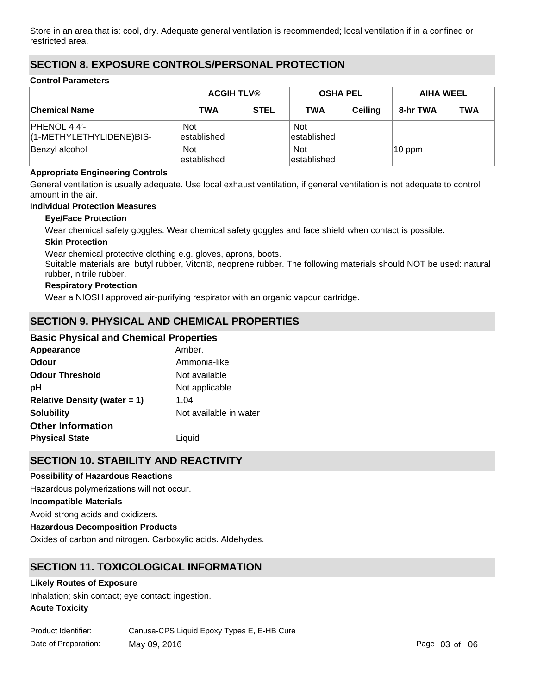Store in an area that is: cool, dry. Adequate general ventilation is recommended; local ventilation if in a confined or restricted area.

# **SECTION 8. EXPOSURE CONTROLS/PERSONAL PROTECTION**

#### **Control Parameters**

|                                            | <b>ACGIH TLV®</b>          |             | <b>OSHA PEL</b>            |                | <b>AIHA WEEL</b> |            |
|--------------------------------------------|----------------------------|-------------|----------------------------|----------------|------------------|------------|
| <b>Chemical Name</b>                       | TWA                        | <b>STEL</b> | <b>TWA</b>                 | <b>Ceiling</b> | 8-hr TWA         | <b>TWA</b> |
| $PHENOL 4,4'-$<br>(1-METHYLETHYLIDENE)BIS- | <b>Not</b><br>established  |             | <b>Not</b><br>established  |                |                  |            |
| Benzyl alcohol                             | <b>Not</b><br>lestablished |             | <b>Not</b><br>lestablished |                | $10$ ppm         |            |

#### **Appropriate Engineering Controls**

General ventilation is usually adequate. Use local exhaust ventilation, if general ventilation is not adequate to control amount in the air.

#### **Individual Protection Measures**

#### **Eye/Face Protection**

Wear chemical safety goggles. Wear chemical safety goggles and face shield when contact is possible.

#### **Skin Protection**

Wear chemical protective clothing e.g. gloves, aprons, boots.

Suitable materials are: butyl rubber, Viton®, neoprene rubber. The following materials should NOT be used: natural rubber, nitrile rubber.

### **Respiratory Protection**

Wear a NIOSH approved air-purifying respirator with an organic vapour cartridge.

# **SECTION 9. PHYSICAL AND CHEMICAL PROPERTIES**

### **Basic Physical and Chemical Properties**

| Appearance                      | Amber.                 |
|---------------------------------|------------------------|
| Odour                           | Ammonia-like           |
| <b>Odour Threshold</b>          | Not available          |
| рH                              | Not applicable         |
| Relative Density (water $= 1$ ) | 1.04                   |
| <b>Solubility</b>               | Not available in water |
| <b>Other Information</b>        |                        |
| <b>Physical State</b>           | Liguid                 |

# **SECTION 10. STABILITY AND REACTIVITY**

#### **Possibility of Hazardous Reactions**

**Incompatible Materials** Avoid strong acids and oxidizers. **Hazardous Decomposition Products** Oxides of carbon and nitrogen. Carboxylic acids. Aldehydes. Hazardous polymerizations will not occur.

# **SECTION 11. TOXICOLOGICAL INFORMATION**

#### **Likely Routes of Exposure**

Inhalation; skin contact; eye contact; ingestion.

#### **Acute Toxicity**

Date of Preparation: May 09, 2016 **Page 03 of 06** Page 03 of 06 Product Identifier: Canusa-CPS Liquid Epoxy Types E, E-HB Cure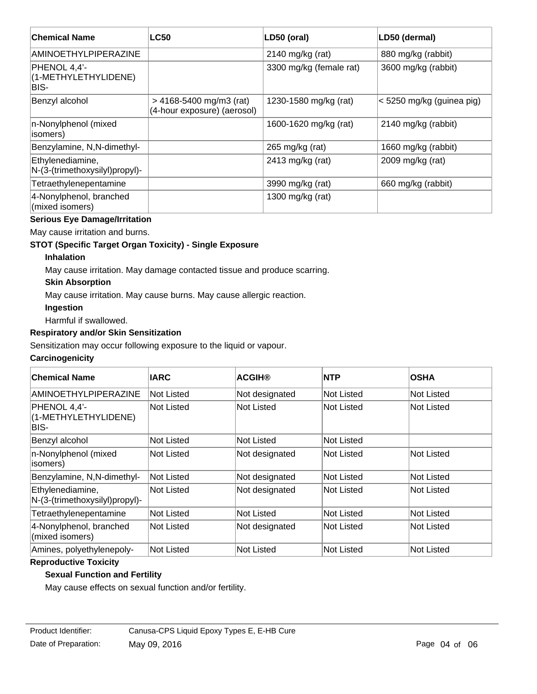| <b>Chemical Name</b>                               | <b>LC50</b>                                              | LD50 (oral)             | LD50 (dermal)             |
|----------------------------------------------------|----------------------------------------------------------|-------------------------|---------------------------|
| AMINOETHYLPIPERAZINE                               |                                                          | 2140 mg/kg (rat)        | 880 mg/kg (rabbit)        |
| PHENOL 4,4'-<br>(1-METHYLETHYLIDENE)<br>BIS-       |                                                          | 3300 mg/kg (female rat) | 3600 mg/kg (rabbit)       |
| Benzyl alcohol                                     | $>$ 4168-5400 mg/m3 (rat)<br>(4-hour exposure) (aerosol) | 1230-1580 mg/kg (rat)   | < 5250 mg/kg (guinea pig) |
| n-Nonylphenol (mixed<br>isomers)                   |                                                          | 1600-1620 mg/kg (rat)   | 2140 mg/kg (rabbit)       |
| Benzylamine, N,N-dimethyl-                         |                                                          | 265 mg/kg (rat)         | 1660 mg/kg (rabbit)       |
| Ethylenediamine,<br>N-(3-(trimethoxysilyl)propyl)- |                                                          | 2413 mg/kg (rat)        | 2009 mg/kg (rat)          |
| Tetraethylenepentamine                             |                                                          | 3990 mg/kg (rat)        | 660 mg/kg (rabbit)        |
| 4-Nonylphenol, branched<br>(mixed isomers)         |                                                          | 1300 mg/kg (rat)        |                           |

# **Serious Eye Damage/Irritation**

May cause irritation and burns.

### **STOT (Specific Target Organ Toxicity) - Single Exposure**

### **Inhalation**

May cause irritation. May damage contacted tissue and produce scarring.

### **Skin Absorption**

May cause irritation. May cause burns. May cause allergic reaction.

### **Ingestion**

Harmful if swallowed.

### **Respiratory and/or Skin Sensitization**

Sensitization may occur following exposure to the liquid or vapour.

# **Carcinogenicity**

| <b>Chemical Name</b>                               | <b>IARC</b>       | <b>ACGIH®</b>  | <b>NTP</b> | <b>OSHA</b>       |
|----------------------------------------------------|-------------------|----------------|------------|-------------------|
| AMINOETHYLPIPERAZINE                               | <b>Not Listed</b> | Not designated | Not Listed | Not Listed        |
| PHENOL 4.4'-<br>(1-METHYLETHYLIDENE)<br>BIS-       | <b>Not Listed</b> | Not Listed     | Not Listed | Not Listed        |
| Benzyl alcohol                                     | <b>Not Listed</b> | Not Listed     | Not Listed |                   |
| n-Nonylphenol (mixed<br>(isomers                   | Not Listed        | Not designated | Not Listed | Not Listed        |
| Benzylamine, N,N-dimethyl-                         | Not Listed        | Not designated | Not Listed | Not Listed        |
| Ethylenediamine,<br>N-(3-(trimethoxysilyl)propyl)- | Not Listed        | Not designated | Not Listed | Not Listed        |
| Tetraethylenepentamine                             | Not Listed        | Not Listed     | Not Listed | Not Listed        |
| 4-Nonylphenol, branched<br>(mixed isomers)         | Not Listed        | Not designated | Not Listed | <b>Not Listed</b> |
| Amines, polyethylenepoly-                          | Not Listed        | Not Listed     | Not Listed | Not Listed        |

### **Reproductive Toxicity**

# **Sexual Function and Fertility**

May cause effects on sexual function and/or fertility.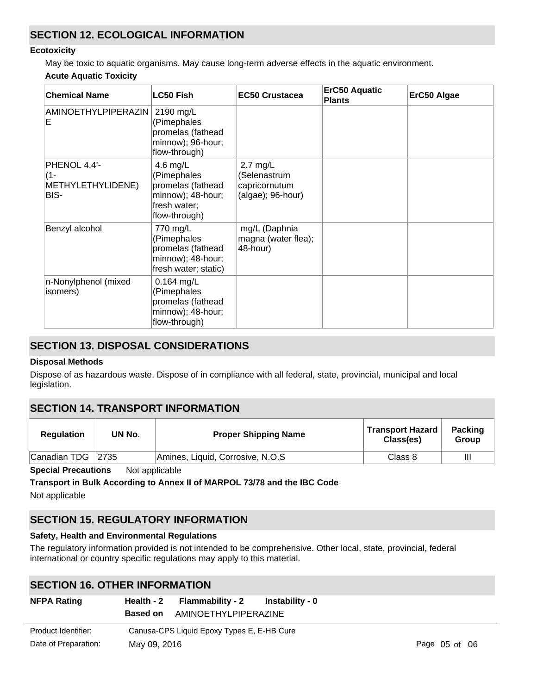# **SECTION 12. ECOLOGICAL INFORMATION**

#### **Ecotoxicity**

May be toxic to aquatic organisms. May cause long-term adverse effects in the aquatic environment. **Acute Aquatic Toxicity**

| <b>Chemical Name</b>                             | <b>LC50 Fish</b>                                                                                     | <b>EC50 Crustacea</b>                                            | ErC50 Aquatic<br><b>Plants</b> | ErC50 Algae |
|--------------------------------------------------|------------------------------------------------------------------------------------------------------|------------------------------------------------------------------|--------------------------------|-------------|
| <b>AMINOETHYLPIPERAZIN</b><br>Е                  | 2190 mg/L<br>(Pimephales<br>promelas (fathead<br>minnow); 96-hour;<br>flow-through)                  |                                                                  |                                |             |
| PHENOL 4,4'-<br>(1-<br>METHYLETHYLIDENE)<br>BIS- | 4.6 $mg/L$<br>(Pimephales<br>promelas (fathead<br>minnow); 48-hour;<br>fresh water;<br>flow-through) | $2.7$ mg/L<br>(Selenastrum<br>capricornutum<br>(algae); 96-hour) |                                |             |
| Benzyl alcohol                                   | 770 mg/L<br>(Pimephales<br>promelas (fathead<br>minnow); 48-hour;<br>fresh water; static)            | mg/L (Daphnia<br>magna (water flea);<br>48-hour)                 |                                |             |
| n-Nonylphenol (mixed<br>isomers)                 | $0.164$ mg/L<br>(Pimephales<br>promelas (fathead<br>minnow); 48-hour;<br>flow-through)               |                                                                  |                                |             |

# **SECTION 13. DISPOSAL CONSIDERATIONS**

### **Disposal Methods**

Dispose of as hazardous waste. Dispose of in compliance with all federal, state, provincial, municipal and local legislation.

# **SECTION 14. TRANSPORT INFORMATION**

| <b>Regulation</b> | UN No.         | <b>Proper Shipping Name</b>      | <b>Transport Hazard</b><br>Class(es) | <b>Packing</b><br>Group |
|-------------------|----------------|----------------------------------|--------------------------------------|-------------------------|
| Canadian TDG      | $ 2735\rangle$ | Amines, Liquid, Corrosive, N.O.S | Class 8                              | Ш                       |

**Special Precautions** Not applicable

#### **Transport in Bulk According to Annex II of MARPOL 73/78 and the IBC Code**

Not applicable

# **SECTION 15. REGULATORY INFORMATION**

#### **Safety, Health and Environmental Regulations**

The regulatory information provided is not intended to be comprehensive. Other local, state, provincial, federal international or country specific regulations may apply to this material.

# **SECTION 16. OTHER INFORMATION**

| <b>NFPA Rating</b>   |                 | Health - 2 Flammability - 2                | Instability - 0 |               |
|----------------------|-----------------|--------------------------------------------|-----------------|---------------|
|                      | <b>Based on</b> | AMINOETHYLPIPERAZINE                       |                 |               |
| Product Identifier:  |                 | Canusa-CPS Liquid Epoxy Types E, E-HB Cure |                 |               |
| Date of Preparation: | May 09, 2016    |                                            |                 | Page 05 of 06 |